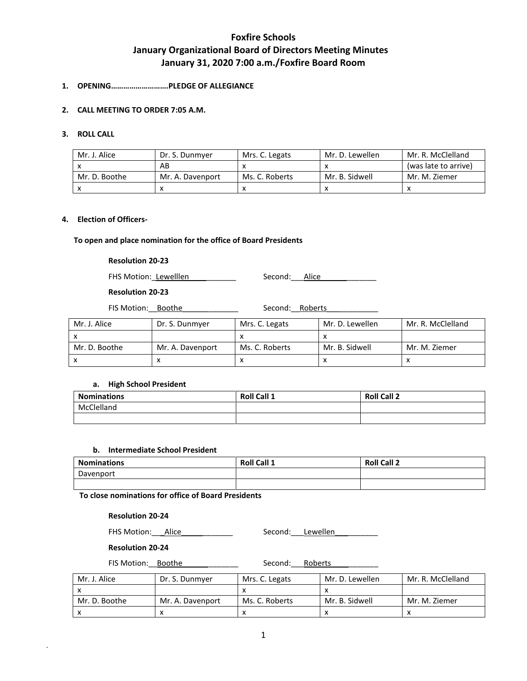# **1. OPENING……………………….PLEDGE OF ALLEGIANCE**

# **2. CALL MEETING TO ORDER 7:05 A.M.**

# **3. ROLL CALL**

| Mr. J. Alice  | Dr. S. Dunmyer   | Mrs. C. Legats | Mr. D. Lewellen | Mr. R. McClelland    |
|---------------|------------------|----------------|-----------------|----------------------|
|               | AB               |                |                 | (was late to arrive) |
| Mr. D. Boothe | Mr. A. Davenport | Ms. C. Roberts | Mr. B. Sidwell  | Mr. M. Ziemer        |
|               |                  |                |                 |                      |

## **4. Election of Officers-**

## **To open and place nomination for the office of Board Presidents**

# **Resolution 20-23**

FHS Motion: Lewelllen \_\_\_\_\_\_\_\_\_\_ Second: \_\_\_Alice

# **Resolution 20-23**

FIS Motion: Boothe \_\_\_\_\_\_\_\_\_\_\_ Second: Roberts

| Mr. J. Alice  | Dr. S. Dunmyer   | Mrs. C. Legats | Mr. D. Lewellen | Mr. R. McClelland |
|---------------|------------------|----------------|-----------------|-------------------|
| $\lambda$     |                  |                |                 |                   |
| Mr. D. Boothe | Mr. A. Davenport | Ms. C. Roberts | Mr. B. Sidwell  | Mr. M. Ziemer     |
| х             |                  |                |                 |                   |

# **a. High School President**

| <b>Nominations</b> | <b>Roll Call 1</b> | <b>Roll Call 2</b> |
|--------------------|--------------------|--------------------|
| McClelland         |                    |                    |
|                    |                    |                    |

## **b. Intermediate School President**

| <b>Nominations</b> | Roll<br>Call 1 | <b>Roll Call 2</b> |
|--------------------|----------------|--------------------|
| Davenport          |                |                    |
|                    |                |                    |

**To close nominations for office of Board Presidents**

# **Resolution 20-24**

FHS Motion: Alice Second: Lewellen

## **Resolution 20-24**

*.*

FIS Motion:\_\_Boothe\_\_\_\_\_\_\_\_\_\_\_\_\_ Second:\_\_\_Roberts\_\_\_\_\_\_\_\_\_\_\_

| Mr. J. Alice  | Dr. S. Dunmver   | Mrs. C. Legats | Mr. D. Lewellen | Mr. R. McClelland |
|---------------|------------------|----------------|-----------------|-------------------|
|               |                  |                |                 |                   |
| Mr. D. Boothe | Mr. A. Davenport | Ms. C. Roberts | Mr. B. Sidwell  | Mr. M. Ziemer     |
|               |                  |                |                 |                   |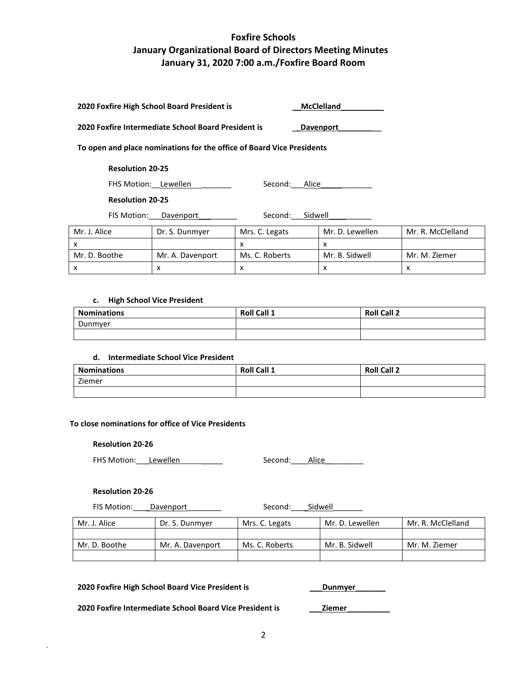|                         | 2020 Foxfire High School Board President is         |                                                                       | <b>McClelland</b> |                   |
|-------------------------|-----------------------------------------------------|-----------------------------------------------------------------------|-------------------|-------------------|
|                         | 2020 Foxfire Intermediate School Board President is |                                                                       | <b>Davenport</b>  |                   |
|                         |                                                     | To open and place nominations for the office of Board Vice Presidents |                   |                   |
| <b>Resolution 20-25</b> |                                                     |                                                                       |                   |                   |
|                         | FHS Motion: Lewellen                                | Alice<br>Second:                                                      |                   |                   |
| <b>Resolution 20-25</b> |                                                     |                                                                       |                   |                   |
| FIS Motion:             | Davenport                                           | Sidwell<br>Second:                                                    |                   |                   |
| Mr. J. Alice            | Dr. S. Dunmyer                                      | Mrs. C. Legats                                                        | Mr. D. Lewellen   | Mr. R. McClelland |
| x                       |                                                     | x                                                                     | x                 |                   |
| Mr. D. Boothe           | Mr. A. Davenport                                    | Ms. C. Roberts                                                        | Mr. B. Sidwell    | Mr. M. Ziemer     |

x x  $\vert x \vert$  x  $\vert x \vert$  x  $\vert x \vert$ 

## **c. High School Vice President**

| <b>Nominations</b> | <b>Roll Call 1</b> | <b>Roll Call 2</b> |
|--------------------|--------------------|--------------------|
| Dunmyer            |                    |                    |
|                    |                    |                    |

# **d. Intermediate School Vice President**

| <b>Nominations</b> | <b>Roll Call 1</b> | <b>Roll Call 2</b> |
|--------------------|--------------------|--------------------|
| Ziemer             |                    |                    |
|                    |                    |                    |

# **To close nominations for office of Vice Presidents**

## **Resolution 20-26**

FHS Motion: Lewellen \_\_\_\_\_\_\_\_\_\_ Second: Alice

## **Resolution 20-26**

*.*

| FIS Motion: | Davenport | Second: | Sidwell |
|-------------|-----------|---------|---------|
|             |           |         |         |

| Mr. J. Alice  | Dr. S. Dunmyer   | Mrs. C. Legats | Mr. D. Lewellen | Mr. R. McClelland |
|---------------|------------------|----------------|-----------------|-------------------|
|               |                  |                |                 |                   |
| Mr. D. Boothe | Mr. A. Davenport | Ms. C. Roberts | Mr. B. Sidwell  | Mr. M. Ziemer     |
|               |                  |                |                 |                   |

# **2020 Foxfire High School Board Vice President is** \_\_\_**Dunmyer**\_\_\_\_\_\_\_

**2020 Foxfire Intermediate School Board Vice President is** \_\_\_**Ziemer**\_\_\_\_\_\_\_\_\_\_

2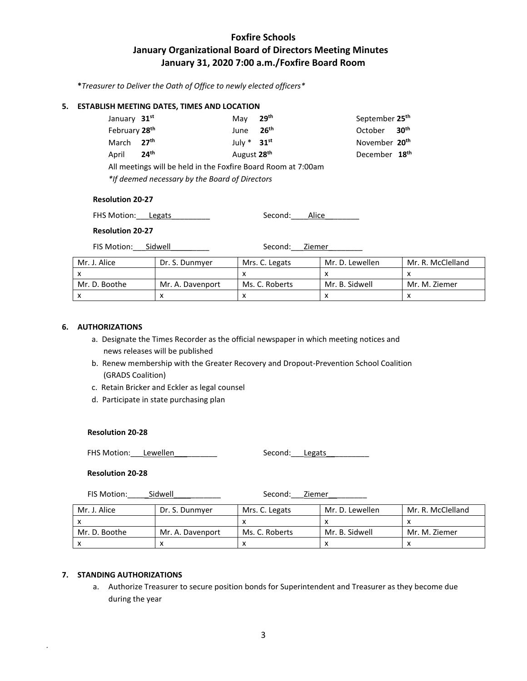**\****Treasurer to Deliver the Oath of Office to newly elected officers\**

# **5. ESTABLISH MEETING DATES, TIMES AND LOCATION**

| January 31 <sup>st</sup>  |                                                               | Mav                     | 29 <sup>th</sup> | September 25 <sup>th</sup> |  |
|---------------------------|---------------------------------------------------------------|-------------------------|------------------|----------------------------|--|
| February 28 <sup>th</sup> |                                                               | June                    | 26 <sup>th</sup> | October 30 <sup>th</sup>   |  |
| March 27 <sup>th</sup>    |                                                               | July $*$ 31st           |                  | November 20 <sup>th</sup>  |  |
| April                     | 24 <sup>th</sup>                                              | August 28 <sup>th</sup> |                  | December 18 <sup>th</sup>  |  |
|                           | All meetings will be held in the Foxfire Board Room at 7:00am |                         |                  |                            |  |
|                           | *If deemed necessary by the Board of Directors                |                         |                  |                            |  |

#### **Resolution 20-27**

| FHS Motion: Legats | Second: | Alice |  |
|--------------------|---------|-------|--|
|                    |         |       |  |

# **Resolution 20-27**

FIS Motion: Sidwell Manual Second: Ziemer

| Mr. J. Alice  | Dr. S. Dunmyer   | Mrs. C. Legats | Mr. D. Lewellen | Mr. R. McClelland |
|---------------|------------------|----------------|-----------------|-------------------|
|               |                  |                |                 |                   |
| Mr. D. Boothe | Mr. A. Davenport | Ms. C. Roberts | Mr. B. Sidwell  | Mr. M. Ziemer     |
|               |                  |                |                 |                   |

# **6. AUTHORIZATIONS**

- a. Designate the Times Recorder as the official newspaper in which meeting notices and news releases will be published
- b. Renew membership with the Greater Recovery and Dropout-Prevention School Coalition (GRADS Coalition)
- c. Retain Bricker and Eckler as legal counsel
- d. Participate in state purchasing plan

## **Resolution 20-28**

FHS Motion: Lewellen

| Second: | Legats |  |
|---------|--------|--|
|         |        |  |

# **Resolution 20-28**

FIS Motion: \_\_\_\_\_\_\_Sidwell \_\_\_\_\_\_\_\_\_\_\_\_\_ Second: \_\_\_\_Ziemer

| Mr. J. Alice  | Dr. S. Dunmver   | Mrs. C. Legats | Mr. D. Lewellen | Mr. R. McClelland |
|---------------|------------------|----------------|-----------------|-------------------|
|               |                  |                |                 |                   |
| Mr. D. Boothe | Mr. A. Davenport | Ms. C. Roberts | Mr. B. Sidwell  | Mr. M. Ziemer     |
|               |                  |                |                 |                   |

# **7. STANDING AUTHORIZATIONS**

*.*

a. Authorize Treasurer to secure position bonds for Superintendent and Treasurer as they become due during the year